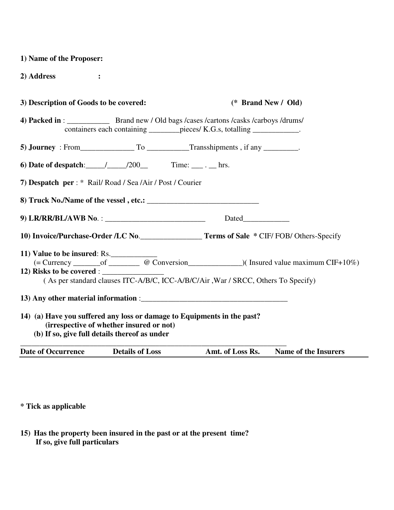| 1) Name of the Proposer:                                                                                                 |                                          |                     |                                                                                   |                             |
|--------------------------------------------------------------------------------------------------------------------------|------------------------------------------|---------------------|-----------------------------------------------------------------------------------|-----------------------------|
| 2) Address                                                                                                               |                                          |                     |                                                                                   |                             |
| 3) Description of Goods to be covered:                                                                                   |                                          | (* Brand New / Old) |                                                                                   |                             |
|                                                                                                                          |                                          |                     | containers each containing _________ pieces/ K.G.s, totalling _____________.      |                             |
|                                                                                                                          |                                          |                     |                                                                                   |                             |
| 6) Date of despatch: $\angle$ /200 Time: $\angle$ hrs.                                                                   |                                          |                     |                                                                                   |                             |
| 7) Despatch per : * Rail/Road / Sea /Air / Post / Courier                                                                |                                          |                     |                                                                                   |                             |
|                                                                                                                          |                                          |                     |                                                                                   |                             |
|                                                                                                                          |                                          |                     |                                                                                   |                             |
| 10) Invoice/Purchase-Order /LC No. Terms of Sale * CIF/FOB/ Others-Specify                                               |                                          |                     |                                                                                   |                             |
| 11) Value to be insured: Rs.<br>12) Risks to be covered :                                                                |                                          |                     | (As per standard clauses ITC-A/B/C, ICC-A/B/C/Air, War / SRCC, Others To Specify) |                             |
|                                                                                                                          |                                          |                     |                                                                                   |                             |
| 14) (a) Have you suffered any loss or damage to Equipments in the past?<br>(b) If so, give full details thereof as under | (irrespective of whether insured or not) |                     |                                                                                   |                             |
| <b>Date of Occurrence</b>                                                                                                | <b>Details of Loss</b>                   |                     | Amt. of Loss Rs.                                                                  | <b>Name of the Insurers</b> |

**\* Tick as applicable** 

**15) Has the property been insured in the past or at the present time? If so, give full particulars**